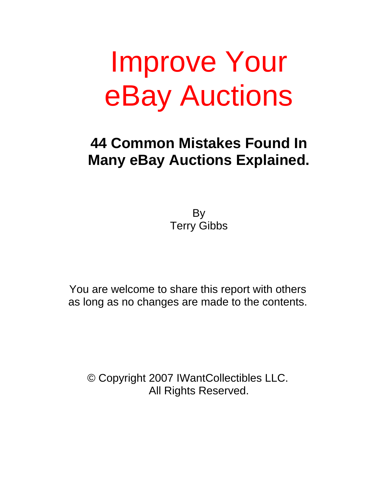# Improve Your eBay Auctions

## **44 Common Mistakes Found In Many eBay Auctions Explained.**

By Terry Gibbs

You are welcome to share this report with others as long as no changes are made to the contents.

© Copyright 2007 IWantCollectibles LLC. All Rights Reserved.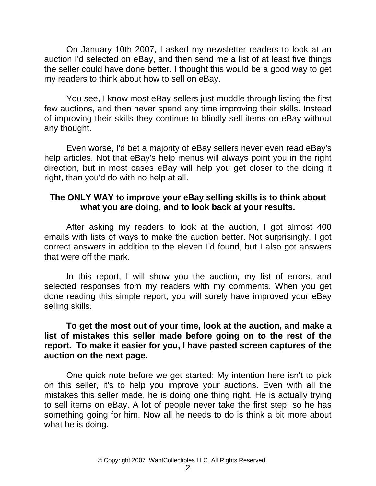On January 10th 2007, I asked my newsletter readers to look at an auction I'd selected on eBay, and then send me a list of at least five things the seller could have done better. I thought this would be a good way to get my readers to think about how to sell on eBay.

You see, I know most eBay sellers just muddle through listing the first few auctions, and then never spend any time improving their skills. Instead of improving their skills they continue to blindly sell items on eBay without any thought.

Even worse, I'd bet a majority of eBay sellers never even read eBay's help articles. Not that eBay's help menus will always point you in the right direction, but in most cases eBay will help you get closer to the doing it right, than you'd do with no help at all.

#### **The ONLY WAY to improve your eBay selling skills is to think about what you are doing, and to look back at your results.**

After asking my readers to look at the auction, I got almost 400 emails with lists of ways to make the auction better. Not surprisingly, I got correct answers in addition to the eleven I'd found, but I also got answers that were off the mark.

In this report, I will show you the auction, my list of errors, and selected responses from my readers with my comments. When you get done reading this simple report, you will surely have improved your eBay selling skills.

#### **To get the most out of your time, look at the auction, and make a list of mistakes this seller made before going on to the rest of the report. To make it easier for you, I have pasted screen captures of the auction on the next page.**

One quick note before we get started: My intention here isn't to pick on this seller, it's to help you improve your auctions. Even with all the mistakes this seller made, he is doing one thing right. He is actually trying to sell items on eBay. A lot of people never take the first step, so he has something going for him. Now all he needs to do is think a bit more about what he is doing.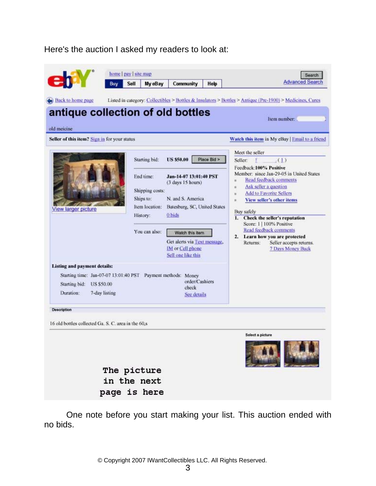#### Here's the auction I asked my readers to look at:



One note before you start making your list. This auction ended with no bids.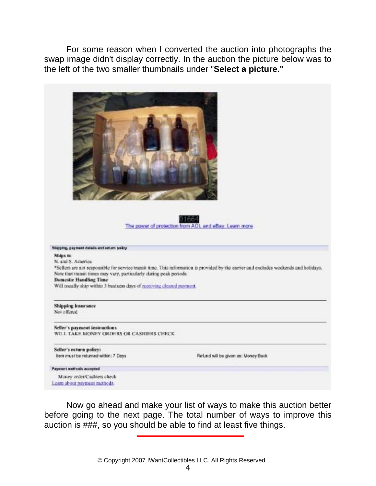For some reason when I converted the auction into photographs the swap image didn't display correctly. In the auction the picture below was to the left of the two smaller thumbnails under "**Select a picture."**



Now go ahead and make your list of ways to make this auction better before going to the next page. The total number of ways to improve this auction is ###, so you should be able to find at least five things.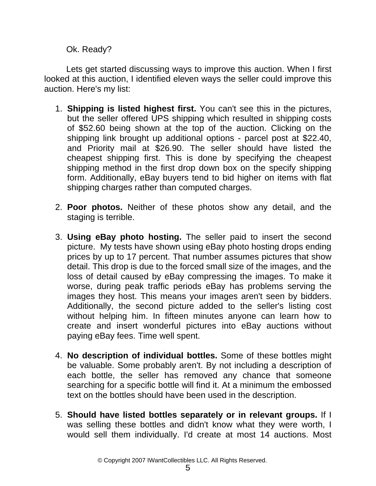Ok. Ready?

Lets get started discussing ways to improve this auction. When I first looked at this auction, I identified eleven ways the seller could improve this auction. Here's my list:

- 1. **Shipping is listed highest first.** You can't see this in the pictures, but the seller offered UPS shipping which resulted in shipping costs of \$52.60 being shown at the top of the auction. Clicking on the shipping link brought up additional options - parcel post at \$22.40, and Priority mail at \$26.90. The seller should have listed the cheapest shipping first. This is done by specifying the cheapest shipping method in the first drop down box on the specify shipping form. Additionally, eBay buyers tend to bid higher on items with flat shipping charges rather than computed charges.
- 2. **Poor photos.** Neither of these photos show any detail, and the staging is terrible.
- 3. **Using eBay photo hosting.** The seller paid to insert the second picture. My tests have shown using eBay photo hosting drops ending prices by up to 17 percent. That number assumes pictures that show detail. This drop is due to the forced small size of the images, and the loss of detail caused by eBay compressing the images. To make it worse, during peak traffic periods eBay has problems serving the images they host. This means your images aren't seen by bidders. Additionally, the second picture added to the seller's listing cost without helping him. In fifteen minutes anyone can learn how to create and insert wonderful pictures into eBay auctions without paying eBay fees. Time well spent.
- 4. **No description of individual bottles.** Some of these bottles might be valuable. Some probably aren't. By not including a description of each bottle, the seller has removed any chance that someone searching for a specific bottle will find it. At a minimum the embossed text on the bottles should have been used in the description.
- 5. **Should have listed bottles separately or in relevant groups.** If I was selling these bottles and didn't know what they were worth, I would sell them individually. I'd create at most 14 auctions. Most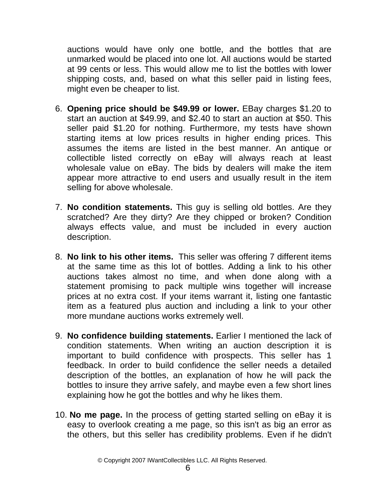auctions would have only one bottle, and the bottles that are unmarked would be placed into one lot. All auctions would be started at 99 cents or less. This would allow me to list the bottles with lower shipping costs, and, based on what this seller paid in listing fees, might even be cheaper to list.

- 6. **Opening price should be \$49.99 or lower.** EBay charges \$1.20 to start an auction at \$49.99, and \$2.40 to start an auction at \$50. This seller paid \$1.20 for nothing. Furthermore, my tests have shown starting items at low prices results in higher ending prices. This assumes the items are listed in the best manner. An antique or collectible listed correctly on eBay will always reach at least wholesale value on eBay. The bids by dealers will make the item appear more attractive to end users and usually result in the item selling for above wholesale.
- 7. **No condition statements.** This guy is selling old bottles. Are they scratched? Are they dirty? Are they chipped or broken? Condition always effects value, and must be included in every auction description.
- 8. **No link to his other items.** This seller was offering 7 different items at the same time as this lot of bottles. Adding a link to his other auctions takes almost no time, and when done along with a statement promising to pack multiple wins together will increase prices at no extra cost. If your items warrant it, listing one fantastic item as a featured plus auction and including a link to your other more mundane auctions works extremely well.
- 9. **No confidence building statements.** Earlier I mentioned the lack of condition statements. When writing an auction description it is important to build confidence with prospects. This seller has 1 feedback. In order to build confidence the seller needs a detailed description of the bottles, an explanation of how he will pack the bottles to insure they arrive safely, and maybe even a few short lines explaining how he got the bottles and why he likes them.
- 10. **No me page.** In the process of getting started selling on eBay it is easy to overlook creating a me page, so this isn't as big an error as the others, but this seller has credibility problems. Even if he didn't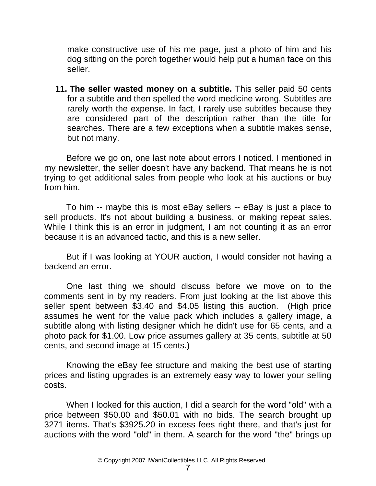make constructive use of his me page, just a photo of him and his dog sitting on the porch together would help put a human face on this seller.

**11. The seller wasted money on a subtitle.** This seller paid 50 cents for a subtitle and then spelled the word medicine wrong. Subtitles are rarely worth the expense. In fact, I rarely use subtitles because they are considered part of the description rather than the title for searches. There are a few exceptions when a subtitle makes sense, but not many.

Before we go on, one last note about errors I noticed. I mentioned in my newsletter, the seller doesn't have any backend. That means he is not trying to get additional sales from people who look at his auctions or buy from him.

To him -- maybe this is most eBay sellers -- eBay is just a place to sell products. It's not about building a business, or making repeat sales. While I think this is an error in judgment, I am not counting it as an error because it is an advanced tactic, and this is a new seller.

But if I was looking at YOUR auction, I would consider not having a backend an error.

One last thing we should discuss before we move on to the comments sent in by my readers. From just looking at the list above this seller spent between \$3.40 and \$4.05 listing this auction. (High price assumes he went for the value pack which includes a gallery image, a subtitle along with listing designer which he didn't use for 65 cents, and a photo pack for \$1.00. Low price assumes gallery at 35 cents, subtitle at 50 cents, and second image at 15 cents.)

Knowing the eBay fee structure and making the best use of starting prices and listing upgrades is an extremely easy way to lower your selling costs.

When I looked for this auction, I did a search for the word "old" with a price between \$50.00 and \$50.01 with no bids. The search brought up 3271 items. That's \$3925.20 in excess fees right there, and that's just for auctions with the word "old" in them. A search for the word "the" brings up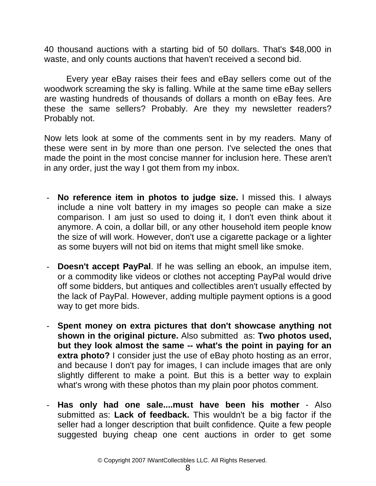40 thousand auctions with a starting bid of 50 dollars. That's \$48,000 in waste, and only counts auctions that haven't received a second bid.

Every year eBay raises their fees and eBay sellers come out of the woodwork screaming the sky is falling. While at the same time eBay sellers are wasting hundreds of thousands of dollars a month on eBay fees. Are these the same sellers? Probably. Are they my newsletter readers? Probably not.

Now lets look at some of the comments sent in by my readers. Many of these were sent in by more than one person. I've selected the ones that made the point in the most concise manner for inclusion here. These aren't in any order, just the way I got them from my inbox.

- **No reference item in photos to judge size.** I missed this. I always include a nine volt battery in my images so people can make a size comparison. I am just so used to doing it, I don't even think about it anymore. A coin, a dollar bill, or any other household item people know the size of will work. However, don't use a cigarette package or a lighter as some buyers will not bid on items that might smell like smoke.
- **Doesn't accept PayPal**. If he was selling an ebook, an impulse item, or a commodity like videos or clothes not accepting PayPal would drive off some bidders, but antiques and collectibles aren't usually effected by the lack of PayPal. However, adding multiple payment options is a good way to get more bids.
- **Spent money on extra pictures that don't showcase anything not shown in the original picture.** Also submitted as: **Two photos used, but they look almost the same -- what's the point in paying for an extra photo?** I consider just the use of eBay photo hosting as an error, and because I don't pay for images, I can include images that are only slightly different to make a point. But this is a better way to explain what's wrong with these photos than my plain poor photos comment.
- **Has only had one sale....must have been his mother** Also submitted as: **Lack of feedback.** This wouldn't be a big factor if the seller had a longer description that built confidence. Quite a few people suggested buying cheap one cent auctions in order to get some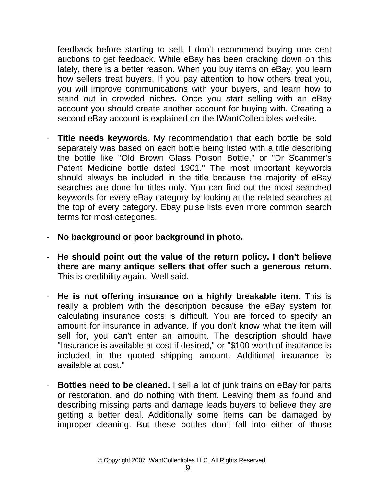feedback before starting to sell. I don't recommend buying one cent auctions to get feedback. While eBay has been cracking down on this lately, there is a better reason. When you buy items on eBay, you learn how sellers treat buyers. If you pay attention to how others treat you, you will improve communications with your buyers, and learn how to stand out in crowded niches. Once you start selling with an eBay account you should create another account for buying with. Creating a second eBay account is explained on the IWantCollectibles website.

- **Title needs keywords.** My recommendation that each bottle be sold separately was based on each bottle being listed with a title describing the bottle like "Old Brown Glass Poison Bottle," or "Dr Scammer's Patent Medicine bottle dated 1901." The most important keywords should always be included in the title because the majority of eBay searches are done for titles only. You can find out the most searched keywords for every eBay category by looking at the related searches at the top of every category. Ebay pulse lists even more common search terms for most categories.
- **No background or poor background in photo.**
- **He should point out the value of the return policy. I don't believe there are many antique sellers that offer such a generous return.** This is credibility again. Well said.
- **He is not offering insurance on a highly breakable item.** This is really a problem with the description because the eBay system for calculating insurance costs is difficult. You are forced to specify an amount for insurance in advance. If you don't know what the item will sell for, you can't enter an amount. The description should have "Insurance is available at cost if desired," or "\$100 worth of insurance is included in the quoted shipping amount. Additional insurance is available at cost."
- **Bottles need to be cleaned.** I sell a lot of junk trains on eBay for parts or restoration, and do nothing with them. Leaving them as found and describing missing parts and damage leads buyers to believe they are getting a better deal. Additionally some items can be damaged by improper cleaning. But these bottles don't fall into either of those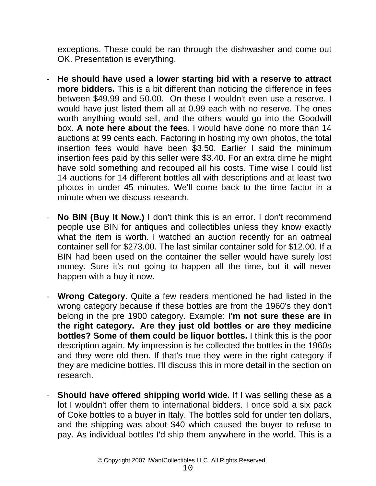exceptions. These could be ran through the dishwasher and come out OK. Presentation is everything.

- **He should have used a lower starting bid with a reserve to attract more bidders.** This is a bit different than noticing the difference in fees between \$49.99 and 50.00. On these I wouldn't even use a reserve. I would have just listed them all at 0.99 each with no reserve. The ones worth anything would sell, and the others would go into the Goodwill box. **A note here about the fees.** I would have done no more than 14 auctions at 99 cents each. Factoring in hosting my own photos, the total insertion fees would have been \$3.50. Earlier I said the minimum insertion fees paid by this seller were \$3.40. For an extra dime he might have sold something and recouped all his costs. Time wise I could list 14 auctions for 14 different bottles all with descriptions and at least two photos in under 45 minutes. We'll come back to the time factor in a minute when we discuss research.
- **No BIN (Buy It Now.)** I don't think this is an error. I don't recommend people use BIN for antiques and collectibles unless they know exactly what the item is worth. I watched an auction recently for an oatmeal container sell for \$273.00. The last similar container sold for \$12.00. If a BIN had been used on the container the seller would have surely lost money. Sure it's not going to happen all the time, but it will never happen with a buy it now.
- **Wrong Category.** Quite a few readers mentioned he had listed in the wrong category because if these bottles are from the 1960's they don't belong in the pre 1900 category. Example: **I'm not sure these are in the right category. Are they just old bottles or are they medicine bottles? Some of them could be liquor bottles.** I think this is the poor description again. My impression is he collected the bottles in the 1960s and they were old then. If that's true they were in the right category if they are medicine bottles. I'll discuss this in more detail in the section on research.
- **Should have offered shipping world wide.** If I was selling these as a lot I wouldn't offer them to international bidders. I once sold a six pack of Coke bottles to a buyer in Italy. The bottles sold for under ten dollars, and the shipping was about \$40 which caused the buyer to refuse to pay. As individual bottles I'd ship them anywhere in the world. This is a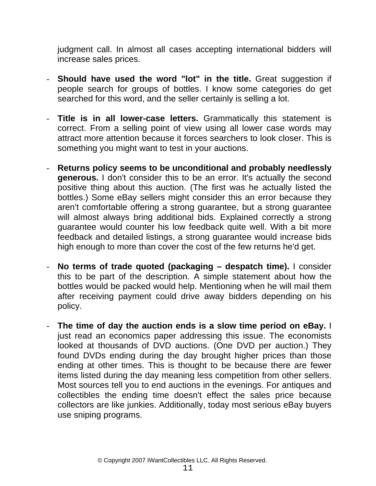judgment call. In almost all cases accepting international bidders will increase sales prices.

- **Should have used the word "lot" in the title.** Great suggestion if people search for groups of bottles. I know some categories do get searched for this word, and the seller certainly is selling a lot.
- **Title is in all lower-case letters.** Grammatically this statement is correct. From a selling point of view using all lower case words may attract more attention because it forces searchers to look closer. This is something you might want to test in your auctions.
- **Returns policy seems to be unconditional and probably needlessly generous.** I don't consider this to be an error. It's actually the second positive thing about this auction. (The first was he actually listed the bottles.) Some eBay sellers might consider this an error because they aren't comfortable offering a strong guarantee, but a strong guarantee will almost always bring additional bids. Explained correctly a strong guarantee would counter his low feedback quite well. With a bit more feedback and detailed listings, a strong guarantee would increase bids high enough to more than cover the cost of the few returns he'd get.
- **No terms of trade quoted (packaging despatch time).** I consider this to be part of the description. A simple statement about how the bottles would be packed would help. Mentioning when he will mail them after receiving payment could drive away bidders depending on his policy.
- **The time of day the auction ends is a slow time period on eBay.** I just read an economics paper addressing this issue. The economists looked at thousands of DVD auctions. (One DVD per auction.) They found DVDs ending during the day brought higher prices than those ending at other times. This is thought to be because there are fewer items listed during the day meaning less competition from other sellers. Most sources tell you to end auctions in the evenings. For antiques and collectibles the ending time doesn't effect the sales price because collectors are like junkies. Additionally, today most serious eBay buyers use sniping programs.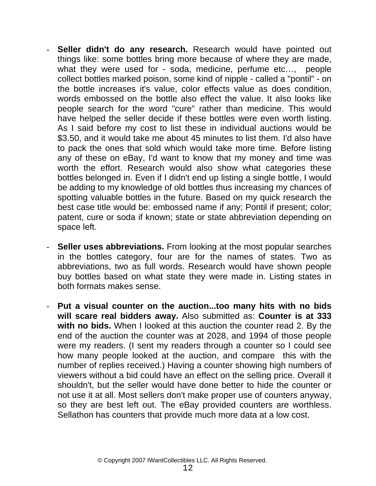- **Seller didn't do any research.** Research would have pointed out things like: some bottles bring more because of where they are made, what they were used for - soda, medicine, perfume etc…, people collect bottles marked poison, some kind of nipple - called a "pontil" - on the bottle increases it's value, color effects value as does condition, words embossed on the bottle also effect the value. It also looks like people search for the word "cure" rather than medicine. This would have helped the seller decide if these bottles were even worth listing. As I said before my cost to list these in individual auctions would be \$3.50, and it would take me about 45 minutes to list them. I'd also have to pack the ones that sold which would take more time. Before listing any of these on eBay, I'd want to know that my money and time was worth the effort. Research would also show what categories these bottles belonged in. Even if I didn't end up listing a single bottle, I would be adding to my knowledge of old bottles thus increasing my chances of spotting valuable bottles in the future. Based on my quick research the best case title would be: embossed name if any; Pontil if present; color; patent, cure or soda if known; state or state abbreviation depending on space left.
- **Seller uses abbreviations.** From looking at the most popular searches in the bottles category, four are for the names of states. Two as abbreviations, two as full words. Research would have shown people buy bottles based on what state they were made in. Listing states in both formats makes sense.
- **Put a visual counter on the auction...too many hits with no bids will scare real bidders away.** Also submitted as: **Counter is at 333 with no bids.** When I looked at this auction the counter read 2. By the end of the auction the counter was at 2028, and 1994 of those people were my readers. (I sent my readers through a counter so I could see how many people looked at the auction, and compare this with the number of replies received.) Having a counter showing high numbers of viewers without a bid could have an effect on the selling price. Overall it shouldn't, but the seller would have done better to hide the counter or not use it at all. Most sellers don't make proper use of counters anyway, so they are best left out. The eBay provided counters are worthless. Sellathon has counters that provide much more data at a low cost.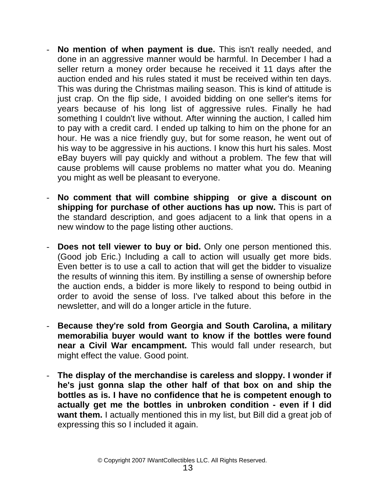- **No mention of when payment is due.** This isn't really needed, and done in an aggressive manner would be harmful. In December I had a seller return a money order because he received it 11 days after the auction ended and his rules stated it must be received within ten days. This was during the Christmas mailing season. This is kind of attitude is just crap. On the flip side, I avoided bidding on one seller's items for years because of his long list of aggressive rules. Finally he had something I couldn't live without. After winning the auction, I called him to pay with a credit card. I ended up talking to him on the phone for an hour. He was a nice friendly guy, but for some reason, he went out of his way to be aggressive in his auctions. I know this hurt his sales. Most eBay buyers will pay quickly and without a problem. The few that will cause problems will cause problems no matter what you do. Meaning you might as well be pleasant to everyone.
- **No comment that will combine shipping or give a discount on shipping for purchase of other auctions has up now.** This is part of the standard description, and goes adjacent to a link that opens in a new window to the page listing other auctions.
- **Does not tell viewer to buy or bid.** Only one person mentioned this. (Good job Eric.) Including a call to action will usually get more bids. Even better is to use a call to action that will get the bidder to visualize the results of winning this item. By instilling a sense of ownership before the auction ends, a bidder is more likely to respond to being outbid in order to avoid the sense of loss. I've talked about this before in the newsletter, and will do a longer article in the future.
- **Because they're sold from Georgia and South Carolina, a military memorabilia buyer would want to know if the bottles were found near a Civil War encampment.** This would fall under research, but might effect the value. Good point.
- **The display of the merchandise is careless and sloppy. I wonder if he's just gonna slap the other half of that box on and ship the bottles as is. I have no confidence that he is competent enough to actually get me the bottles in unbroken condition - even if I did want them.** I actually mentioned this in my list, but Bill did a great job of expressing this so I included it again.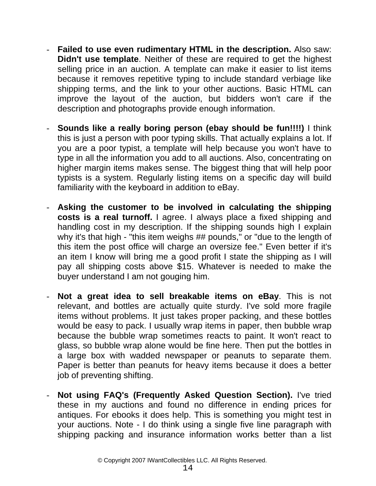- **Failed to use even rudimentary HTML in the description.** Also saw: **Didn't use template**. Neither of these are required to get the highest selling price in an auction. A template can make it easier to list items because it removes repetitive typing to include standard verbiage like shipping terms, and the link to your other auctions. Basic HTML can improve the layout of the auction, but bidders won't care if the description and photographs provide enough information.
- **Sounds like a really boring person (ebay should be fun!!!!)** I think this is just a person with poor typing skills. That actually explains a lot. If you are a poor typist, a template will help because you won't have to type in all the information you add to all auctions. Also, concentrating on higher margin items makes sense. The biggest thing that will help poor typists is a system. Regularly listing items on a specific day will build familiarity with the keyboard in addition to eBay.
- **Asking the customer to be involved in calculating the shipping costs is a real turnoff.** I agree. I always place a fixed shipping and handling cost in my description. If the shipping sounds high I explain why it's that high - "this item weighs ## pounds," or "due to the length of this item the post office will charge an oversize fee." Even better if it's an item I know will bring me a good profit I state the shipping as I will pay all shipping costs above \$15. Whatever is needed to make the buyer understand I am not gouging him.
- **Not a great idea to sell breakable items on eBay**. This is not relevant, and bottles are actually quite sturdy. I've sold more fragile items without problems. It just takes proper packing, and these bottles would be easy to pack. I usually wrap items in paper, then bubble wrap because the bubble wrap sometimes reacts to paint. It won't react to glass, so bubble wrap alone would be fine here. Then put the bottles in a large box with wadded newspaper or peanuts to separate them. Paper is better than peanuts for heavy items because it does a better job of preventing shifting.
- **Not using FAQ's (Frequently Asked Question Section).** I've tried these in my auctions and found no difference in ending prices for antiques. For ebooks it does help. This is something you might test in your auctions. Note - I do think using a single five line paragraph with shipping packing and insurance information works better than a list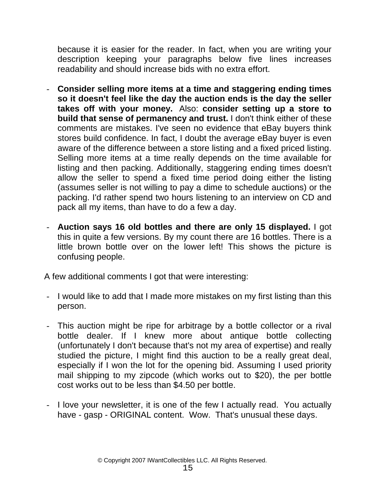because it is easier for the reader. In fact, when you are writing your description keeping your paragraphs below five lines increases readability and should increase bids with no extra effort.

- **Consider selling more items at a time and staggering ending times so it doesn't feel like the day the auction ends is the day the seller takes off with your money.** Also: **consider setting up a store to build that sense of permanency and trust.** I don't think either of these comments are mistakes. I've seen no evidence that eBay buyers think stores build confidence. In fact, I doubt the average eBay buyer is even aware of the difference between a store listing and a fixed priced listing. Selling more items at a time really depends on the time available for listing and then packing. Additionally, staggering ending times doesn't allow the seller to spend a fixed time period doing either the listing (assumes seller is not willing to pay a dime to schedule auctions) or the packing. I'd rather spend two hours listening to an interview on CD and pack all my items, than have to do a few a day.
- **Auction says 16 old bottles and there are only 15 displayed.** I got this in quite a few versions. By my count there are 16 bottles. There is a little brown bottle over on the lower left! This shows the picture is confusing people.

A few additional comments I got that were interesting:

- I would like to add that I made more mistakes on my first listing than this person.
- This auction might be ripe for arbitrage by a bottle collector or a rival bottle dealer. If I knew more about antique bottle collecting (unfortunately I don't because that's not my area of expertise) and really studied the picture, I might find this auction to be a really great deal, especially if I won the lot for the opening bid. Assuming I used priority mail shipping to my zipcode (which works out to \$20), the per bottle cost works out to be less than \$4.50 per bottle.
- I love your newsletter, it is one of the few I actually read. You actually have - gasp - ORIGINAL content. Wow. That's unusual these days.